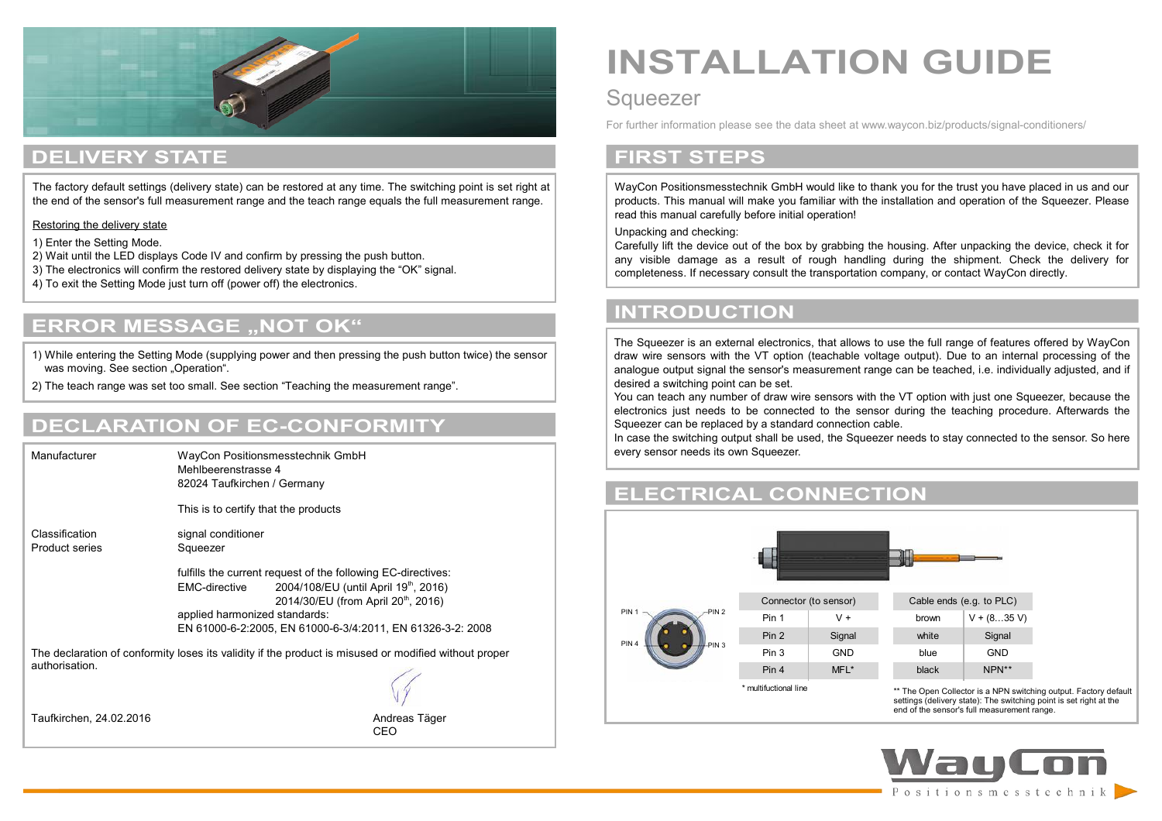

### **DELIVERY STATE**

The factory default settings (delivery state) can be restored at any time. The switching point is set right at the end of the sensor's full measurement range and the teach range equals the full measurement range.

Restoring the delivery state

1) Enter the Setting Mode.

- 2) Wait until the LED displays Code IV and confirm by pressing the push button.
- 3) The electronics will confirm the restored delivery state by displaying the "OK" signal.
- 4) To exit the Setting Mode just turn off (power off) the electronics.

### **ERROR MESSAGE "NOT OK"**

1) While entering the Setting Mode (supplying power and then pressing the push button twice) the sensor was moving. See section "Operation".

2) The teach range was set too small. See section "Teaching the measurement range".

### **DECLARATION OF EC-CONFORMITY**

Manufacturer WayCon Positionsmesstechnik GmbH Mehlbeerenstrasse 4 82024 Taufkirchen / Germany This is to certify that the products Classification signal conditioner Product series Squeezer fulfills the current request of the following EC-directives: EMC-directive  $2004/108/EU$  (until April 19<sup>th</sup>, 2016) 2014/30/EU (from April 20<sup>th</sup>, 2016) applied harmonized standards: EN 61000-6-2:2005, EN 61000-6-3/4:2011, EN 61326-3-2: 2008 The declaration of conformity loses its validity if the product is misused or modified without proper authorisation. Taufkirchen, 24.02.2016 Andreas Täger

CEO

# **INSTALLATION GUIDE**

### **Squeezer**

For further information please see the data sheet at www.waycon.biz/products/signal-conditioners/

### **FIRST STEPS**

WayCon Positionsmesstechnik GmbH would like to thank you for the trust you have placed in us and our products. This manual will make you familiar with the installation and operation of the Squeezer. Please read this manual carefully before initial operation!

Unpacking and checking:

l

Carefully lift the device out of the box by grabbing the housing. After unpacking the device, check it for any visible damage as a result of rough handling during the shipment. Check the delivery for completeness. If necessary consult the transportation company, or contact WayCon directly.

### **INTRODUCTION**

The Squeezer is an external electronics, that allows to use the full range of features offered by WayCon draw wire sensors with the VT option (teachable voltage output). Due to an internal processing of the analogue output signal the sensor's measurement range can be teached, i.e. individually adjusted, and if desired a switching point can be set.

You can teach any number of draw wire sensors with the VT option with just one Squeezer, because the electronics just needs to be connected to the sensor during the teaching procedure. Afterwards the Squeezer can be replaced by a standard connection cable.

In case the switching output shall be used, the Squeezer needs to stay connected to the sensor. So here every sensor needs its own Squeezer.

### **ELECTRICAL CONNECTION**